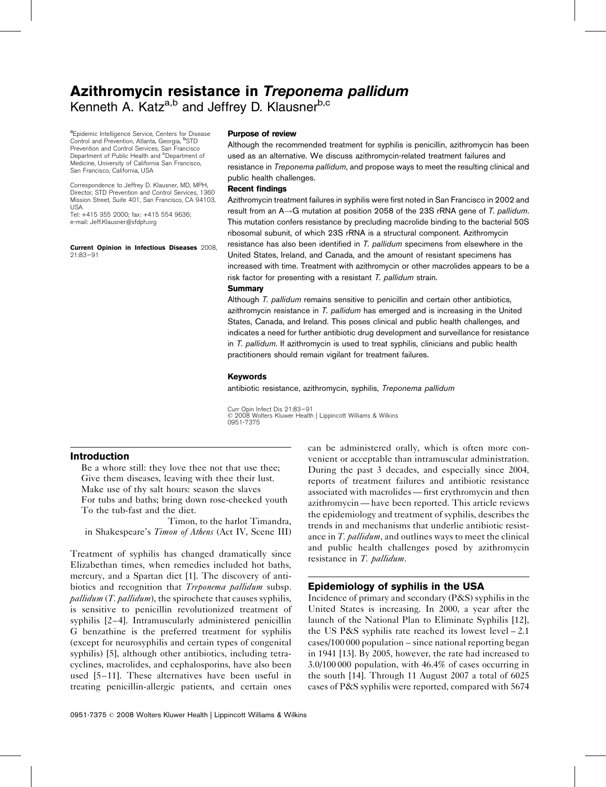# Azithromycin resistance in Treponema pallidum

Kenneth A. Katz<sup>a,b</sup> and Jeffrey D. Klausner<sup>b,c</sup>

<sup>a</sup> Epidemic Intelligence Service, Centers for Disease Control and Prevention, Atlanta, Georgia, <sup>b</sup>STD Prevention and Control Services, San Francisco Department of Public Health and <sup>c</sup>Department of Medicine, University of California San Francisco, San Francisco, California, USA

Correspondence to Jeffrey D. Klausner, MD, MPH, Director, STD Prevention and Control Services, 1360 Mission Street, Suite 401, San Francisco, CA 94103, USA Tel: +415 355 2000; fax: +415 554 9636; e-mail: [Jeff.Klausner@sfdph.org](mailto:Jeff.Klausner@sfdph.org)

Current Opinion in Infectious Diseases 2008, 21:83–91

#### Purpose of review

Although the recommended treatment for syphilis is penicillin, azithromycin has been used as an alternative. We discuss azithromycin-related treatment failures and resistance in Treponema pallidum, and propose ways to meet the resulting clinical and public health challenges.

### Recent findings

Azithromycin treatment failures in syphilis were first noted in San Francisco in 2002 and result from an  $A \rightarrow G$  mutation at position 2058 of the 23S rRNA gene of T. pallidum. This mutation confers resistance by precluding macrolide binding to the bacterial 50S ribosomal subunit, of which 23S rRNA is a structural component. Azithromycin resistance has also been identified in T. pallidum specimens from elsewhere in the United States, Ireland, and Canada, and the amount of resistant specimens has increased with time. Treatment with azithromycin or other macrolides appears to be a risk factor for presenting with a resistant T. pallidum strain.

#### **Summary**

Although T. pallidum remains sensitive to penicillin and certain other antibiotics, azithromycin resistance in T. pallidum has emerged and is increasing in the United States, Canada, and Ireland. This poses clinical and public health challenges, and indicates a need for further antibiotic drug development and surveillance for resistance in T. pallidum. If azithromycin is used to treat syphilis, clinicians and public health practitioners should remain vigilant for treatment failures.

### Keywords

antibiotic resistance, azithromycin, syphilis, Treponema pallidum

Curr Opin Infect Dis 21:83–91 2008 Wolters Kluwer Health | Lippincott Williams & Wilkins 0951-7375

## Introduction

Be a whore still: they love thee not that use thee; Give them diseases, leaving with thee their lust. Make use of thy salt hours: season the slaves For tubs and baths; bring down rose-cheeked youth To the tub-fast and the diet.

Timon, to the harlot Timandra, in Shakespeare's Timon of Athens (Act IV, Scene III)

Treatment of syphilis has changed dramatically since Elizabethan times, when remedies included hot baths, mercury, and a Spartan diet [\[1\].](#page-6-0) The discovery of antibiotics and recognition that Treponema pallidum subsp.  $pallidum (T. \text{pallidum})$ , the spirochete that causes syphilis, is sensitive to penicillin revolutionized treatment of syphilis [\[2–4\]](#page-6-0). Intramuscularly administered penicillin G benzathine is the preferred treatment for syphilis (except for neurosyphilis and certain types of congenital syphilis) [\[5\]](#page-6-0), although other antibiotics, including tetracyclines, macrolides, and cephalosporins, have also been used [\[5–11\]](#page-6-0). These alternatives have been useful in treating penicillin-allergic patients, and certain ones

can be administered orally, which is often more convenient or acceptable than intramuscular administration. During the past 3 decades, and especially since 2004, reports of treatment failures and antibiotic resistance associated with macrolides — first erythromycin and then azithromycin — have been reported. This article reviews the epidemiology and treatment of syphilis, describes the trends in and mechanisms that underlie antibiotic resistance in T. pallidum, and outlines ways to meet the clinical and public health challenges posed by azithromycin resistance in T. pallidum.

## Epidemiology of syphilis in the USA

Incidence of primary and secondary (P&S) syphilis in the United States is increasing. In 2000, a year after the launch of the National Plan to Eliminate Syphilis [\[12\]](#page-7-0), the US P&S syphilis rate reached its lowest level  $-2.1$ cases/100 000 population – since national reporting began in 1941 [\[13\].](#page-7-0) By 2005, however, the rate had increased to 3.0/100 000 population, with 46.4% of cases occurring in the south [\[14\]](#page-7-0). Through 11 August 2007 a total of 6025 cases of P&S syphilis were reported, compared with 5674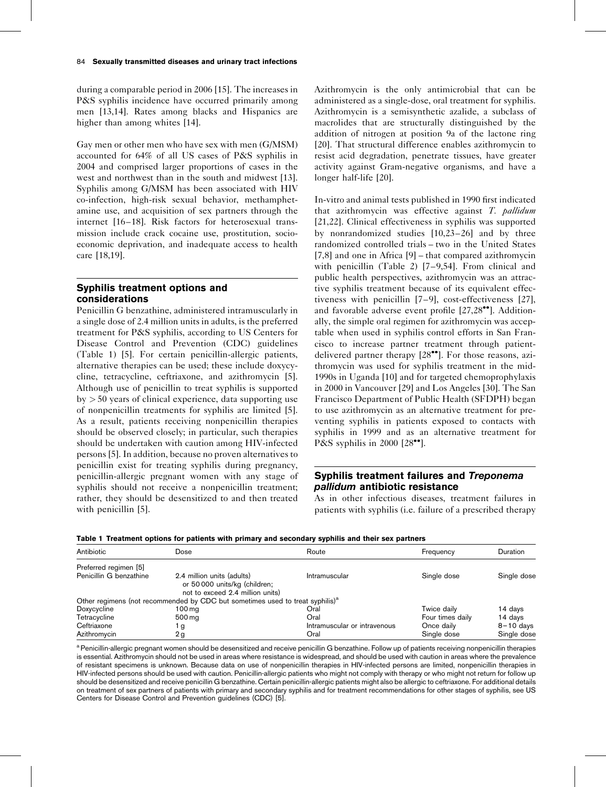during a comparable period in 2006 [\[15\]](#page-7-0). The increases in P&S syphilis incidence have occurred primarily among men [\[13,14\].](#page-7-0) Rates among blacks and Hispanics are higher than among whites [\[14\].](#page-7-0)

Gay men or other men who have sex with men (G/MSM) accounted for 64% of all US cases of P&S syphilis in 2004 and comprised larger proportions of cases in the west and northwest than in the south and midwest [\[13\]](#page-7-0). Syphilis among G/MSM has been associated with HIV co-infection, high-risk sexual behavior, methamphetamine use, and acquisition of sex partners through the internet [\[16–18\]](#page-7-0). Risk factors for heterosexual transmission include crack cocaine use, prostitution, socioeconomic deprivation, and inadequate access to health care [\[18,19\].](#page-7-0)

## Syphilis treatment options and considerations

Penicillin G benzathine, administered intramuscularly in a single dose of 2.4 million units in adults, is the preferred treatment for P&S syphilis, according to US Centers for Disease Control and Prevention (CDC) guidelines (Table 1) [\[5\].](#page-6-0) For certain penicillin-allergic patients, alternative therapies can be used; these include doxycycline, tetracycline, ceftriaxone, and azithromycin [\[5\]](#page-6-0). Although use of penicillin to treat syphilis is supported  $by > 50$  years of clinical experience, data supporting use of nonpenicillin treatments for syphilis are limited [\[5\]](#page-6-0). As a result, patients receiving nonpenicillin therapies should be observed closely; in particular, such therapies should be undertaken with caution among HIV-infected persons [\[5\]](#page-6-0). In addition, because no proven alternatives to penicillin exist for treating syphilis during pregnancy, penicillin-allergic pregnant women with any stage of syphilis should not receive a nonpenicillin treatment; rather, they should be desensitized to and then treated with penicillin [\[5\].](#page-6-0)

Azithromycin is the only antimicrobial that can be administered as a single-dose, oral treatment for syphilis. Azithromycin is a semisynthetic azalide, a subclass of macrolides that are structurally distinguished by the addition of nitrogen at position 9a of the lactone ring [\[20\]](#page-7-0). That structural difference enables azithromycin to resist acid degradation, penetrate tissues, have greater activity against Gram-negative organisms, and have a longer half-life [\[20\]](#page-7-0).

In-vitro and animal tests published in 1990 first indicated that azithromycin was effective against  $T$ . pallidum [\[21,22\].](#page-7-0) Clinical effectiveness in syphilis was supported by nonrandomized studies [\[10,23–26\]](#page-7-0) and by three randomized controlled trials – two in the United States [\[7,8\]](#page-7-0) and one in Africa [\[9\]](#page-7-0) – that compared azithromycin with penicillin [\(Table 2\)](#page-2-0) [\[7–9,54\]](#page-7-0). From clinical and public health perspectives, azithromycin was an attractive syphilis treatment because of its equivalent effectiveness with penicillin [\[7–9\],](#page-7-0) cost-effectiveness [\[27\]](#page-7-0), and favorable adverse event profile  $[27,28\degree]$  $[27,28\degree]$  $[27,28\degree]$ . Additionally, the simple oral regimen for azithromycin was acceptable when used in syphilis control efforts in San Francisco to increase partner treatment through patientdelivered partner therapy  $[28\bullet]$  $[28\bullet]$ . For those reasons, azithromycin was used for syphilis treatment in the mid-1990s in Uganda [\[10\]](#page-7-0) and for targeted chemoprophylaxis in 2000 in Vancouver [\[29\]](#page-7-0) and Los Angeles [\[30\]](#page-7-0). The San Francisco Department of Public Health (SFDPH) began to use azithromycin as an alternative treatment for preventing syphilis in patients exposed to contacts with syphilis in 1999 and as an alternative treatment for P&S syphilis in  $2000$   $[28$ <sup>\*\*</sup>[\].](#page-7-0)

## Syphilis treatment failures and Treponema pallidum antibiotic resistance

As in other infectious diseases, treatment failures in patients with syphilis (i.e. failure of a prescribed therapy

| Antibiotic              | Dose                                                                                            | Route                        | Frequency        | Duration      |
|-------------------------|-------------------------------------------------------------------------------------------------|------------------------------|------------------|---------------|
| Preferred regimen [5]   |                                                                                                 |                              |                  |               |
| Penicillin G benzathine | 2.4 million units (adults)<br>or 50 000 units/kg (children;<br>not to exceed 2.4 million units) | Intramuscular                | Single dose      | Single dose   |
|                         | Other regimens (not recommended by CDC but sometimes used to treat syphilis) <sup>a</sup>       |                              |                  |               |
| Doxycycline             | $100 \,\mathrm{mg}$                                                                             | Oral                         | Twice daily      | 14 days       |
| Tetracycline            | 500 mg                                                                                          | Oral                         | Four times daily | 14 days       |
| Ceftriaxone             | Ιg                                                                                              | Intramuscular or intravenous | Once daily       | $8 - 10$ days |
| Azithromycin            | 2g                                                                                              | Oral                         | Single dose      | Single dose   |

Table 1 Treatment options for patients with primary and secondary syphilis and their sex partners

a Penicillin-allergic pregnant women should be desensitized and receive penicillin G benzathine. Follow up of patients receiving nonpenicillin therapies is essential. Azithromycin should not be used in areas where resistance is widespread, and should be used with caution in areas where the prevalence of resistant specimens is unknown. Because data on use of nonpenicillin therapies in HIV-infected persons are limited, nonpenicillin therapies in HIV-infected persons should be used with caution. Penicillin-allergic patients who might not comply with therapy or who might not return for follow up should be desensitized and receive penicillin G benzathine. Certain penicillin-allergic patients might also be allergic to ceftriaxone. For additional details on treatment of sex partners of patients with primary and secondary syphilis and for treatment recommendations for other stages of syphilis, see US Centers for Disease Control and Prevention guidelines (CDC) [\[5\]](#page-6-0).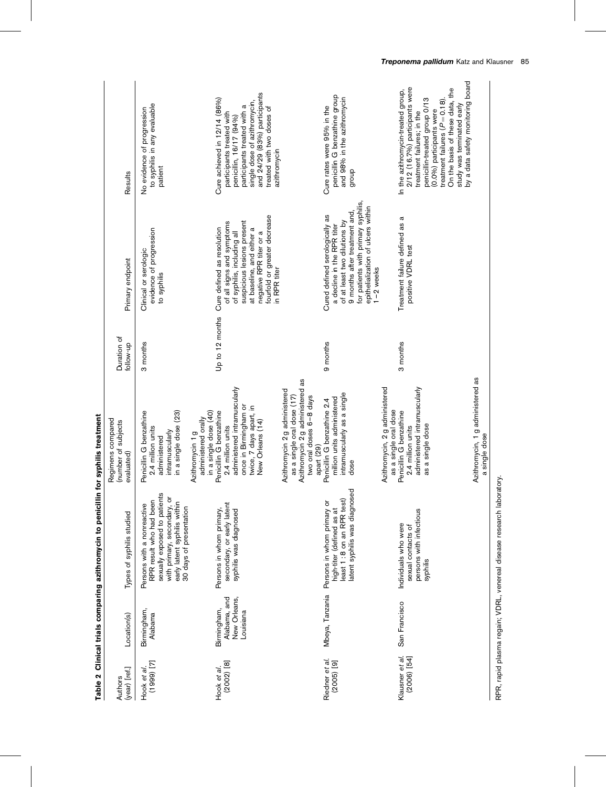<span id="page-2-0"></span>

|                                  |                                                          | Table 2 Clinical trials comparing azithromycin to penicillin for syphilis treatment                                                                                             |                                                                                                                                                                                                                          |                          |                                                                                                                                                                                                                             |                                                                                                                                                                                                                  |
|----------------------------------|----------------------------------------------------------|---------------------------------------------------------------------------------------------------------------------------------------------------------------------------------|--------------------------------------------------------------------------------------------------------------------------------------------------------------------------------------------------------------------------|--------------------------|-----------------------------------------------------------------------------------------------------------------------------------------------------------------------------------------------------------------------------|------------------------------------------------------------------------------------------------------------------------------------------------------------------------------------------------------------------|
| (year) [ref.]<br>Authors         | Location(s)                                              | Types of syphilis studied                                                                                                                                                       | Regimens compared<br>(number of subjects<br>evaluated)                                                                                                                                                                   | Duration of<br>follow-up | Primary endpoint                                                                                                                                                                                                            | Results                                                                                                                                                                                                          |
| Hook <i>et al.</i><br>(1999) [7] | Birmingham,<br>Alabama                                   | sexually exposed to patients<br>with primary, secondary, or<br>RPR result who had been<br>early latent syphilis within<br>Persons with a nonreactive<br>30 days of presentation | in a single dose (23)<br>Penicillin G benzathine<br>2.4 million units<br>intramuscularly<br>administered                                                                                                                 | 3 months                 | evidence of progression<br>Clinical or serologic<br>to syphilis                                                                                                                                                             | to syphilis in any evaluable<br>No evidence of progression<br>patient                                                                                                                                            |
| Hook <i>et al.</i><br>(2002) [8] | New Orleans,<br>Alabama, and<br>Birmingham,<br>Louisiana | secondary, or early latent<br>Persons in whom primary,<br>syphilis was diagnosed                                                                                                | administered intramuscularly<br>once in Birmingham or<br>twice, 7 days apart, in<br>in a single dose (40)<br>Penicillin G benzathine<br>administered orally<br>New Orleans (14)<br>2.4 million units<br>Azithromycin 1 g | Up to 12 months          | fourfold or greater decrease<br>suspicious lesions present<br>of all signs and symptoms<br>of syphilis, including all<br>Cure defined as resolution<br>at baseline, and either a<br>negative RPR titer or a                 | and 24/29 (83%) participants<br>Cure achieved in 12/14 (86%)<br>single dose of azithromycin,<br>participants treated with a<br>treated with two doses of<br>participants treated with<br>penicillin, 16/17 (94%) |
|                                  |                                                          |                                                                                                                                                                                 | Azithromycin 2g administered as<br>Azithromycin 2g administered<br>as a single oral dose (17)<br>two oral doses 6-8 days<br>apart (29)                                                                                   |                          | in RPR titer                                                                                                                                                                                                                | azithromycin                                                                                                                                                                                                     |
| Riedner et al.<br>$(2005)$ [9]   | Mbeya, Tanzania                                          | latent syphilis was diagnosed<br>least 1:8 on an RPR test)<br>Persons in whom primary or<br>high-titer (defined as at                                                           | intramuscularly as a single<br>million units administered<br>Penicillin G benzathine 2.4<br>dose                                                                                                                         | 9 months                 | for patients with primary syphilis,<br>epithelialization of ulcers within<br>9 months after treatment and,<br>Cured defined serologically as<br>of at least two dilutions by<br>a decline in the RPR titer<br>$1 - 2$ weeks | penicillin G benzathine group<br>and 98% in the azithromycin<br>Cure rates were 95% in the<br>dronb                                                                                                              |
| Klausner et al.<br>$(2006)$ [54] | San Francisco                                            | persons with infectious<br>Individuals who were<br>sexual contacts of<br>syphilis                                                                                               | Azithromycin, 2g administered<br>as a single oral dose<br>administered intramuscularly<br>Penicillin G benzathine<br>as a single dose<br>2.4 million units                                                               | 3 months                 | Treatment failure defined as a<br>positive VDRL test                                                                                                                                                                        | 2/12 (16.7%) participants were<br>In the azithromycin-treated group,<br>penicillin-treated group 0/13<br>(0.0%) participants were<br>treatment failures; in the                                                  |
|                                  |                                                          |                                                                                                                                                                                 | Azithromycin, 1 g administered as<br>a single dose                                                                                                                                                                       |                          |                                                                                                                                                                                                                             | by a data safety monitoring board<br>On the basis of these data, the<br>treatment failures ( $P = 0.18$ )<br>study was terminated early                                                                          |
|                                  |                                                          |                                                                                                                                                                                 |                                                                                                                                                                                                                          |                          |                                                                                                                                                                                                                             |                                                                                                                                                                                                                  |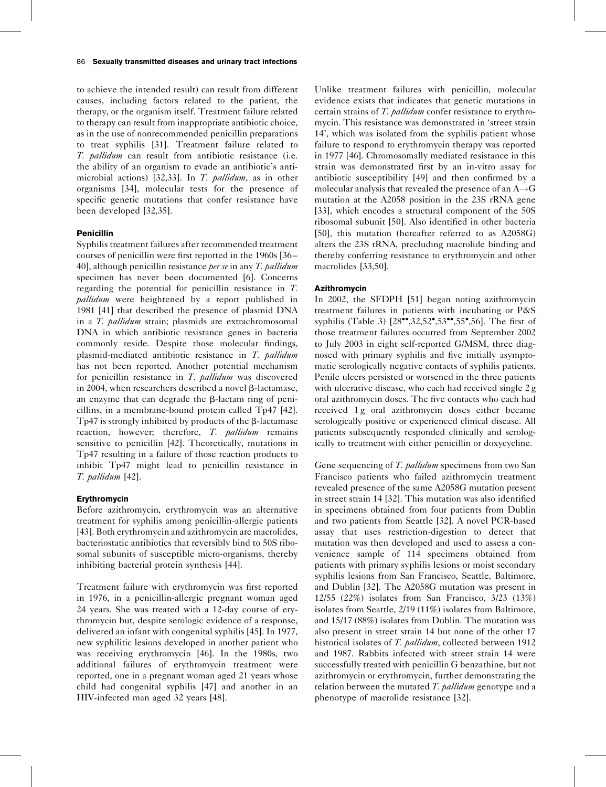to achieve the intended result) can result from different causes, including factors related to the patient, the therapy, or the organism itself. Treatment failure related to therapy can result from inappropriate antibiotic choice, as in the use of nonrecommended penicillin preparations to treat syphilis [\[31\]](#page-7-0). Treatment failure related to T. *pallidum* can result from antibiotic resistance (i.e. the ability of an organism to evade an antibiotic's anti-microbial actions) [\[32,33\]](#page-7-0). In T. pallidum, as in other organisms [\[34\]](#page-7-0), molecular tests for the presence of specific genetic mutations that confer resistance have been developed [\[32,35\].](#page-7-0)

#### Penicillin

Syphilis treatment failures after recommended treatment courses of penicillin were first reported in the 1960s [\[36–](#page-7-0) [40\]](#page-7-0), although penicillin resistance *per se* in any T. *pallidum* specimen has never been documented [\[6\]](#page-7-0). Concerns regarding the potential for penicillin resistance in T. pallidum were heightened by a report published in 1981 [\[41\]](#page-7-0) that described the presence of plasmid DNA in a T. pallidum strain; plasmids are extrachromosomal DNA in which antibiotic resistance genes in bacteria commonly reside. Despite those molecular findings, plasmid-mediated antibiotic resistance in T. pallidum has not been reported. Another potential mechanism for penicillin resistance in T. *pallidum* was discovered in 2004, when researchers described a novel  $\beta$ -lactamase, an enzyme that can degrade the  $\beta$ -lactam ring of penicillins, in a membrane-bound protein called Tp47 [\[42\]](#page-7-0). Tp47 is strongly inhibited by products of the  $\beta$ -lactamase reaction, however; therefore, T. pallidum remains sensitive to penicillin [\[42\]](#page-7-0). Theoretically, mutations in Tp47 resulting in a failure of those reaction products to inhibit Tp47 might lead to penicillin resistance in T. pallidum [\[42\]](#page-7-0).

#### Erythromycin

Before azithromycin, erythromycin was an alternative treatment for syphilis among penicillin-allergic patients [\[43\]](#page-7-0). Both erythromycin and azithromycin are macrolides, bacteriostatic antibiotics that reversibly bind to 50S ribosomal subunits of susceptible micro-organisms, thereby inhibiting bacterial protein synthesis [\[44\].](#page-7-0)

Treatment failure with erythromycin was first reported in 1976, in a penicillin-allergic pregnant woman aged 24 years. She was treated with a 12-day course of erythromycin but, despite serologic evidence of a response, delivered an infant with congenital syphilis [\[45\].](#page-7-0) In 1977, new syphilitic lesions developed in another patient who was receiving erythromycin [\[46\]](#page-7-0). In the 1980s, two additional failures of erythromycin treatment were reported, one in a pregnant woman aged 21 years whose child had congenital syphilis [\[47\]](#page-7-0) and another in an HIV-infected man aged 32 years [\[48\]](#page-7-0).

Unlike treatment failures with penicillin, molecular evidence exists that indicates that genetic mutations in certain strains of T. pallidum confer resistance to erythromycin. This resistance was demonstrated in 'street strain 14', which was isolated from the syphilis patient whose failure to respond to erythromycin therapy was reported in 1977 [\[46\]](#page-7-0). Chromosomally mediated resistance in this strain was demonstrated first by an in-vitro assay for antibiotic susceptibility [\[49\]](#page-7-0) and then confirmed by a molecular analysis that revealed the presence of an  $A \rightarrow G$ mutation at the A2058 position in the 23S rRNA gene [\[33\]](#page-7-0), which encodes a structural component of the 50S ribosomal subunit [\[50\]](#page-7-0). Also identified in other bacteria [\[50\]](#page-7-0), this mutation (hereafter referred to as A2058G) alters the 23S rRNA, precluding macrolide binding and thereby conferring resistance to erythromycin and other macrolides [\[33,50\].](#page-7-0)

#### Azithromycin

In 2002, the SFDPH [\[51\]](#page-7-0) began noting azithromycin treatment failures in patients with incubating or P&S syphilis [\(Table 3\)](#page-4-0) [\[28](#page-7-0)<sup>\*</sup>[,32,52](#page-7-0)<sup>\*</sup>[,53](#page-7-0)<sup>\*\*</sup>[,55](#page-7-0)<sup>\*</sup>,55]. The first of those treatment failures occurred from September 2002 to July 2003 in eight self-reported G/MSM, three diagnosed with primary syphilis and five initially asymptomatic serologically negative contacts of syphilis patients. Penile ulcers persisted or worsened in the three patients with ulcerative disease, who each had received single 2 g oral azithromycin doses. The five contacts who each had received 1 g oral azithromycin doses either became serologically positive or experienced clinical disease. All patients subsequently responded clinically and serologically to treatment with either penicillin or doxycycline.

Gene sequencing of T. *pallidum* specimens from two San Francisco patients who failed azithromycin treatment revealed presence of the same A2058G mutation present in street strain 14 [\[32\]](#page-7-0). This mutation was also identified in specimens obtained from four patients from Dublin and two patients from Seattle [\[32\]](#page-7-0). A novel PCR-based assay that uses restriction-digestion to detect that mutation was then developed and used to assess a convenience sample of 114 specimens obtained from patients with primary syphilis lesions or moist secondary syphilis lesions from San Francisco, Seattle, Baltimore, and Dublin [\[32\]](#page-7-0). The A2058G mutation was present in 12/55 (22%) isolates from San Francisco, 3/23 (13%) isolates from Seattle, 2/19 (11%) isolates from Baltimore, and 15/17 (88%) isolates from Dublin. The mutation was also present in street strain 14 but none of the other 17 historical isolates of T. pallidum, collected between 1912 and 1987. Rabbits infected with street strain 14 were successfully treated with penicillin G benzathine, but not azithromycin or erythromycin, further demonstrating the relation between the mutated T. pallidum genotype and a phenotype of macrolide resistance [\[32\].](#page-7-0)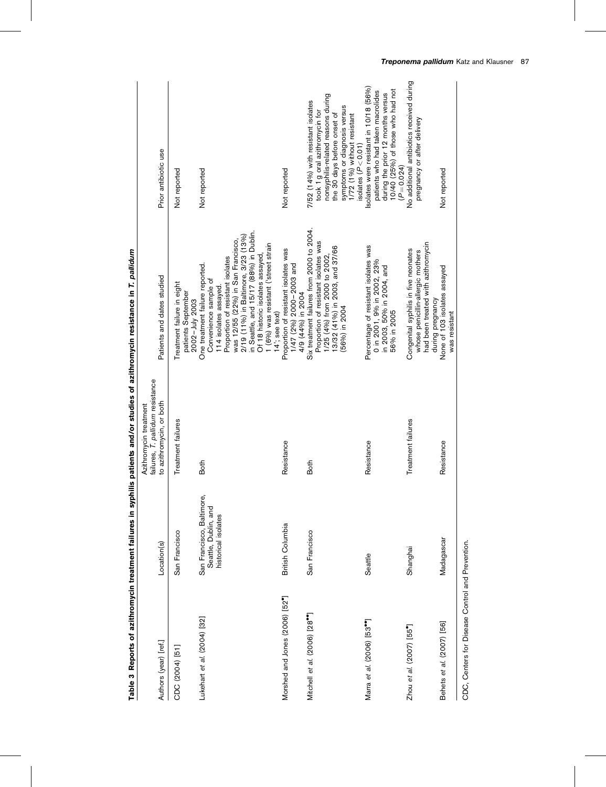<span id="page-4-0"></span>

|                                |                                                                          |                                                            | Table 3 Reports of azithromycin treatment failures in syphilis patients and/or studies of azithromycin resistance in T. pallidum                                                                                                                                                                                                            |                                                                                                                                                                                                                                   |
|--------------------------------|--------------------------------------------------------------------------|------------------------------------------------------------|---------------------------------------------------------------------------------------------------------------------------------------------------------------------------------------------------------------------------------------------------------------------------------------------------------------------------------------------|-----------------------------------------------------------------------------------------------------------------------------------------------------------------------------------------------------------------------------------|
|                                |                                                                          | failures, T. pallidum resistance<br>Azithromycin treatment |                                                                                                                                                                                                                                                                                                                                             |                                                                                                                                                                                                                                   |
| Authors (year) [ref.]          | Location(s)                                                              | to azithromycin, or both                                   | Patients and dates studied                                                                                                                                                                                                                                                                                                                  | Prior antibiotic use                                                                                                                                                                                                              |
| CDC (2004) [51]                | San Francisco                                                            | Treatment failures                                         | Treatment failure in eight<br>patients September<br>2002-July 2003                                                                                                                                                                                                                                                                          | Not reported                                                                                                                                                                                                                      |
| Lukehart et al. (2004) [32]    | San Francisco, Baltimore,<br>Seattle, Dublin, and<br>historical isolates | <b>Both</b>                                                | in Seattle, and 15/17 (88%) in Dublin.<br>2/19 (11%) in Baltimore, 3/23 (13%)<br>was 12/55 (22%) in San Francisco,<br>1 (6%) was resistant ('street strain<br>Of 18 historic isolates assayed,<br>Proportion of resistant isolates<br>One treatment failure reported.<br>Convenience sample of<br>114 isolates assayed.<br>$14$ ; see text) | Not reported                                                                                                                                                                                                                      |
| Morshed and Jones (2006) [52°] | <b>British Columbia</b>                                                  | Resistance                                                 | Proportion of resistant isolates was<br>1/47 (2%) 2000-2003 and<br>4/9 (44%) in 2004                                                                                                                                                                                                                                                        | Not reported                                                                                                                                                                                                                      |
| Mitchell et al. (2006) [28**]  | San Francisco                                                            | Both                                                       | Six treatment failures from 2000 to 2004.<br>Proportion of resistant isolates was<br>13/32 (41%) in 2003, and 37/66<br>1/25 (4%) from 2000 to 2002,<br>56%) in 2004                                                                                                                                                                         | nonsyphilis-related reasons during<br>7/52 (14%) with resistant isolates<br>symptoms or diagnosis versus<br>took 1 g oral azithromycin for<br>the 30 days before onset of<br>1/72 (1%) without resistant<br>isolates $(P < 0.01)$ |
| Marra et al. (2006) [53*]      | Seattle                                                                  | Resistance                                                 | Percentage of resistant isolates was<br>0 in 2001, 9% in 2002, 23%<br>in 2003, 50% in 2004, and<br>56% in 2005                                                                                                                                                                                                                              | Isolates were resistant in 10/18 (56%)<br>10/40 (25%) of those who had not<br>patients who had taken macrolides<br>during the prior 12 months versus<br>$(P = 0.024)$                                                             |
| Zhou et al. $(2007)$ $[55o]$   | Shanghai                                                                 | Treatment failures                                         | had been treated with azithromycin<br>Congenital syphilis in five neonates<br>whose penicillin-allergic mothers<br>during pregnancy                                                                                                                                                                                                         | No additional antibiotics received during<br>pregnancy or after delivery                                                                                                                                                          |
| Behets et al. (2007) [56]      | Madagascar                                                               | Resistance                                                 | None of 103 isolates assayed<br>was resistant                                                                                                                                                                                                                                                                                               | Not reported                                                                                                                                                                                                                      |

 $\mathbf{r}$ £, a<br>Si é É ÷ ÷ Ê ا<br>منتقط ÷  $\frac{1}{2}$ ់ចំ  $\vec{r}$ .<br>ب **Re**  Treponema pallidum Katz and Klausner 87

CDC, Centers for Disease Control and Prevention. CDC, Centers for Disease Control and Prevention.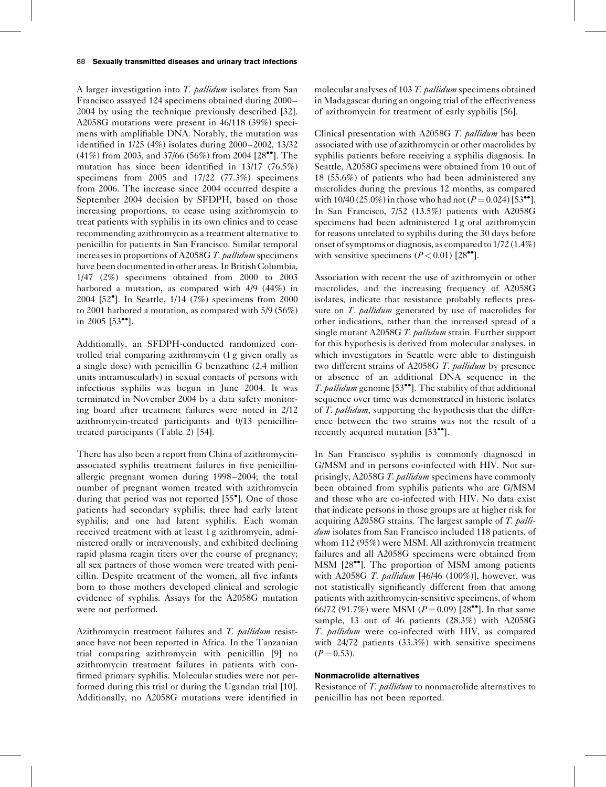A larger investigation into T. *pallidum* isolates from San Francisco assayed 124 specimens obtained during 2000– 2004 by using the technique previously described [\[32\]](#page-7-0). A2058G mutations were present in 46/118 (39%) specimens with amplifiable DNA. Notably, the mutation was identified in 1/25 (4%) isolates during 2000–2002, 13/32  $(41\%)$  from 2003, and 37/66 (56%) from 2004 [\[28](#page-7-0)<sup>\*\*</sup>[\]](#page-7-0). The mutation has since been identified in 13/17 (76.5%) specimens from 2005 and 17/22 (77.3%) specimens from 2006. The increase since 2004 occurred despite a September 2004 decision by SFDPH, based on those increasing proportions, to cease using azithromycin to treat patients with syphilis in its own clinics and to cease recommending azithromycin as a treatment alternative to penicillin for patients in San Francisco. Similar temporal increases in proportions of A2058G T. *pallidum* specimens have been documented in other areas. In British Columbia, 1/47 (2%) specimens obtained from 2000 to 2003 harbored a mutation, as compared with 4/9 (44%) in 2004 [\[52](#page-7-0) [\]](#page-7-0). In Seattle, 1/14 (7%) specimens from 2000 to 2001 harbored a mutation, as compared with 5/9 (56%) in 2005  $[53^{\bullet\bullet}]$  $[53^{\bullet\bullet}]$ .

Additionally, an SFDPH-conducted randomized controlled trial comparing azithromycin (1 g given orally as a single dose) with penicillin G benzathine (2.4 million units intramuscularly) in sexual contacts of persons with infectious syphilis was begun in June 2004. It was terminated in November 2004 by a data safety monitoring board after treatment failures were noted in 2/12 azithromycin-treated participants and 0/13 penicillintreated participants [\(Table 2\)](#page-2-0) [\[54\]](#page-7-0).

There has also been a report from China of azithromycinassociated syphilis treatment failures in five penicillinallergic pregnant women during 1998–2004; the total number of pregnant women treated with azithromycin during that period was not reported [\[55](#page-8-0) [\]](#page-8-0). One of those patients had secondary syphilis; three had early latent syphilis; and one had latent syphilis. Each woman received treatment with at least 1 g azithromycin, administered orally or intravenously, and exhibited declining rapid plasma reagin titers over the course of pregnancy; all sex partners of those women were treated with penicillin. Despite treatment of the women, all five infants born to those mothers developed clinical and serologic evidence of syphilis. Assays for the A2058G mutation were not performed.

Azithromycin treatment failures and T. pallidum resistance have not been reported in Africa. In the Tanzanian trial comparing azithromycin with penicillin [\[9\]](#page-7-0) no azithromycin treatment failures in patients with confirmed primary syphilis. Molecular studies were not performed during this trial or during the Ugandan trial [\[10\]](#page-7-0). Additionally, no A2058G mutations were identified in molecular analyses of 103 T. *pallidum* specimens obtained in Madagascar during an ongoing trial of the effectiveness of azithromycin for treatment of early syphilis [\[56\]](#page-8-0).

Clinical presentation with A2058G T. pallidum has been associated with use of azithromycin or other macrolides by syphilis patients before receiving a syphilis diagnosis. In Seattle, A2058G specimens were obtained from 10 out of 18 (55.6%) of patients who had been administered any macrolides during the previous 12 months, as compared with 10/40 (25.0%) in those who had not  $(P = 0.024)$  [\[53](#page-7-0)<sup>\*</sup>[\]](#page-7-0). In San Francisco, 7/52 (13.5%) patients with A2058G specimens had been administered 1 g oral azithromycin for reasons unrelated to syphilis during the 30 days before onset of symptoms or diagnosis, as compared to 1/72 (1.4%) with sensitive specimens  $(P < 0.01)$  [\[28](#page-7-0)<sup> $\bullet$ </sup>[\]](#page-7-0).

Association with recent the use of azithromycin or other macrolides, and the increasing frequency of A2058G isolates, indicate that resistance probably reflects pressure on T. *pallidum* generated by use of macrolides for other indications, rather than the increased spread of a single mutant A2058G T. *pallidum* strain. Further support for this hypothesis is derived from molecular analyses, in which investigators in Seattle were able to distinguish two different strains of A2058G T. *pallidum* by presence or absence of an additional DNA sequence in the T. *pallidum* genome [\[53](#page-7-0)<sup>••</sup>[\].](#page-7-0) The stability of that additional sequence over time was demonstrated in historic isolates of T. pallidum, supporting the hypothesis that the difference between the two strains was not the result of a recently acquired mutation [\[53](#page-7-0)<sup>••</sup>[\]](#page-7-0).

In San Francisco syphilis is commonly diagnosed in G/MSM and in persons co-infected with HIV. Not surprisingly, A2058G T. pallidum specimens have commonly been obtained from syphilis patients who are G/MSM and those who are co-infected with HIV. No data exist that indicate persons in those groups are at higher risk for acquiring A2058G strains. The largest sample of T. pallidum isolates from San Francisco included 118 patients, of whom 112 (95%) were MSM. All azithromycin treatment failures and all A2058G specimens were obtained from MSM [\[28](#page-7-0)<sup>\*\*</sup>[\].](#page-7-0) The proportion of MSM among patients with A2058G T. *pallidum* [46/46  $(100\%)$ ], however, was not statistically significantly different from that among patients with azithromycin-sensitive specimens, of whom 66/72 (91.7%) were MSM ( $P = 0.09$ ) [\[28](#page-7-0)<sup>\*\*</sup>[\]](#page-7-0). In that same sample, 13 out of 46 patients (28.3%) with A2058G T. pallidum were co-infected with HIV, as compared with 24/72 patients (33.3%) with sensitive specimens  $(P = 0.53)$ .

### Nonmacrolide alternatives

Resistance of T. pallidum to nonmacrolide alternatives to penicillin has not been reported.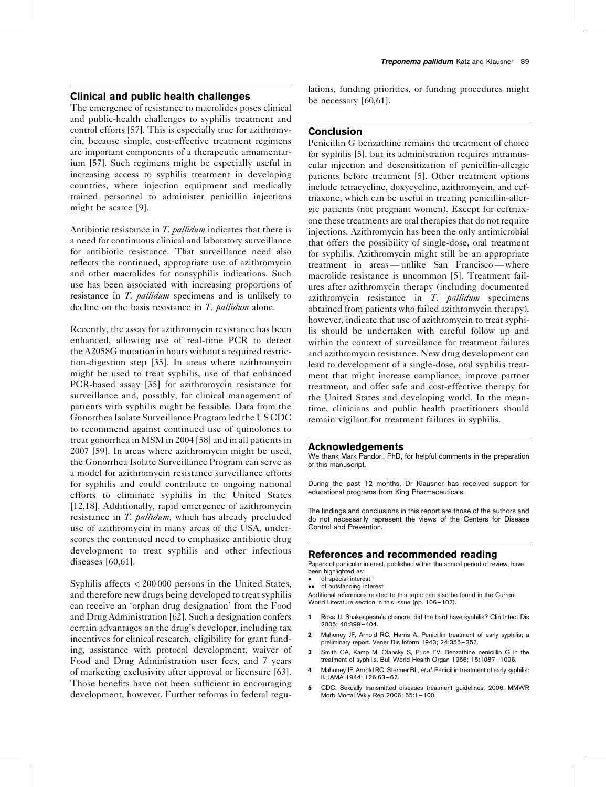#### <span id="page-6-0"></span>Clinical and public health challenges

The emergence of resistance to macrolides poses clinical and public-health challenges to syphilis treatment and control efforts [\[57\]](#page-8-0). This is especially true for azithromycin, because simple, cost-effective treatment regimens are important components of a therapeutic armamentarium [\[57\]](#page-8-0). Such regimens might be especially useful in increasing access to syphilis treatment in developing countries, where injection equipment and medically trained personnel to administer penicillin injections might be scarce [\[9\]](#page-7-0).

Antibiotic resistance in T. *pallidum* indicates that there is a need for continuous clinical and laboratory surveillance for antibiotic resistance. That surveillance need also reflects the continued, appropriate use of azithromycin and other macrolides for nonsyphilis indications. Such use has been associated with increasing proportions of resistance in T. pallidum specimens and is unlikely to decline on the basis resistance in T. *pallidum* alone.

Recently, the assay for azithromycin resistance has been enhanced, allowing use of real-time PCR to detect the A2058G mutation in hours without a required restriction-digestion step [\[35\]](#page-7-0). In areas where azithromycin might be used to treat syphilis, use of that enhanced PCR-based assay [\[35\]](#page-7-0) for azithromycin resistance for surveillance and, possibly, for clinical management of patients with syphilis might be feasible. Data from the Gonorrhea Isolate Surveillance Program led the US CDC to recommend against continued use of quinolones to treat gonorrhea in MSM in 2004 [\[58\]](#page-8-0) and in all patients in 2007 [\[59\]](#page-8-0). In areas where azithromycin might be used, the Gonorrhea Isolate Surveillance Program can serve as a model for azithromycin resistance surveillance efforts for syphilis and could contribute to ongoing national efforts to eliminate syphilis in the United States [\[12,18\].](#page-7-0) Additionally, rapid emergence of azithromycin resistance in T. pallidum, which has already precluded use of azithromycin in many areas of the USA, underscores the continued need to emphasize antibiotic drug development to treat syphilis and other infectious diseases [\[60,61\].](#page-8-0)

Syphilis affects < 200 000 persons in the United States, and therefore new drugs being developed to treat syphilis can receive an 'orphan drug designation' from the Food and Drug Administration [\[62\]](#page-8-0). Such a designation confers certain advantages on the drug's developer, including tax incentives for clinical research, eligibility for grant funding, assistance with protocol development, waiver of Food and Drug Administration user fees, and 7 years of marketing exclusivity after approval or licensure [\[63\]](#page-8-0). Those benefits have not been sufficient in encouraging development, however. Further reforms in federal regulations, funding priorities, or funding procedures might be necessary [\[60,61\].](#page-8-0)

#### Conclusion

Penicillin G benzathine remains the treatment of choice for syphilis [5], but its administration requires intramuscular injection and desensitization of penicillin-allergic patients before treatment [5]. Other treatment options include tetracycline, doxycycline, azithromycin, and ceftriaxone, which can be useful in treating penicillin-allergic patients (not pregnant women). Except for ceftriaxone these treatments are oral therapies that do not require injections. Azithromycin has been the only antimicrobial that offers the possibility of single-dose, oral treatment for syphilis. Azithromycin might still be an appropriate treatment in areas — unlike San Francisco — where macrolide resistance is uncommon [5]. Treatment failures after azithromycin therapy (including documented azithromycin resistance in  $T$ . *pallidum* specimens obtained from patients who failed azithromycin therapy), however, indicate that use of azithromycin to treat syphilis should be undertaken with careful follow up and within the context of surveillance for treatment failures and azithromycin resistance. New drug development can lead to development of a single-dose, oral syphilis treatment that might increase compliance, improve partner treatment, and offer safe and cost-effective therapy for the United States and developing world. In the meantime, clinicians and public health practitioners should remain vigilant for treatment failures in syphilis.

#### Acknowledgements

We thank Mark Pandori, PhD, for helpful comments in the preparation of this manuscript.

During the past 12 months, Dr Klausner has received support for educational programs from King Pharmaceuticals.

The findings and conclusions in this report are those of the authors and do not necessarily represent the views of the Centers for Disease Control and Prevention.

#### References and recommended reading

Papers of particular interest, published within the annual period of review, have been highlighted as:

- of special interest
- of outstanding interest

Additional references related to this topic can also be found in the Current World Literature section in this issue (pp. 106–107).

- 1 Ross JJ. Shakespeare's chancre: did the bard have syphilis? Clin Infect Dis 2005; 40:399–404.
- 2 Mahoney JF, Arnold RC, Harris A. Penicillin treatment of early syphilis; a preliminary report. Vener Dis Inform 1943; 24:355–357.
- 3 Smith CA, Kamp M, Olansky S, Price EV. Benzathine penicillin G in the treatment of syphilis. Bull World Health Organ 1956; 15:1087–1096.
- 4 Mahoney JF, Arnold RC, Stermer BL, et al. Penicillin treatment of early syphilis: II. JAMA 1944; 126:63–67.
- 5 CDC. Sexually transmitted diseases treatment guidelines, 2006. MMWR Morb Mortal Wkly Rep 2006; 55:1–100.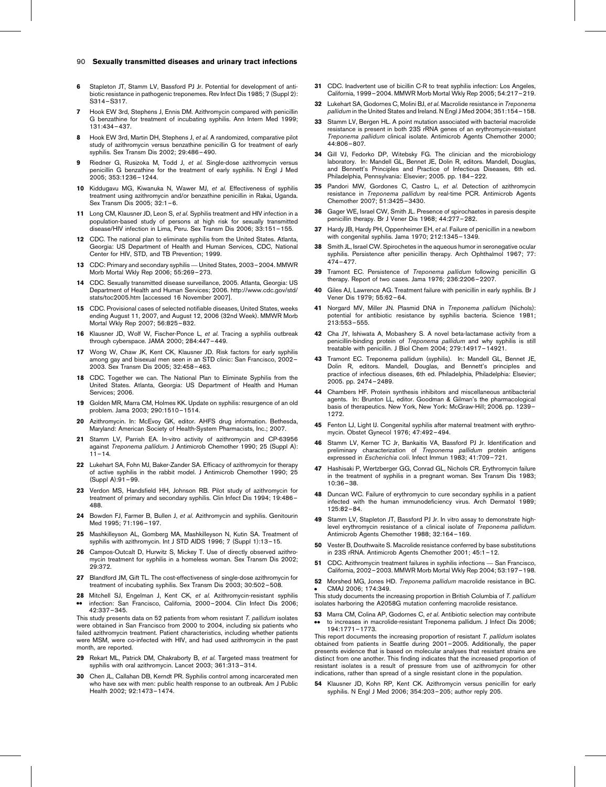#### <span id="page-7-0"></span>90 Sexually transmitted diseases and urinary tract infections

- Stapleton JT, Stamm LV, Bassford PJ Jr. Potential for development of antibiotic resistance in pathogenic treponemes. Rev Infect Dis 1985; 7 (Suppl 2): S314–S317.
- Hook EW 3rd, Stephens J, Ennis DM. Azithromycin compared with penicillin G benzathine for treatment of incubating syphilis. Ann Intern Med 1999; 131:434–437.
- Hook EW 3rd, Martin DH, Stephens J, et al. A randomized, comparative pilot study of azithromycin versus benzathine penicillin G for treatment of early syphilis. Sex Transm Dis 2002; 29:486–490.
- Riedner G, Rusizoka M, Todd J, et al. Single-dose azithromycin versus penicillin G benzathine for the treatment of early syphilis. N Engl J Med 2005; 353:1236–1244.
- 10 Kiddugavu MG, Kiwanuka N, Wawer MJ, et al. Effectiveness of syphilis treatment using azithromycin and/or benzathine penicillin in Rakai, Uganda. Sex Transm Dis 2005; 32:1–6.
- 11 Long CM, Klausner JD, Leon S, et al. Syphilis treatment and HIV infection in a population-based study of persons at high risk for sexually transmitted disease/HIV infection in Lima, Peru. Sex Transm Dis 2006; 33:151–155.
- 12 CDC. The national plan to eliminate syphilis from the United States. Atlanta, Georgia: US Department of Health and Human Services, CDC, National Center for HIV, STD, and TB Prevention; 1999.
- 13 CDC: Primary and secondary syphilis United States, 2003–2004. MMWR Morb Mortal Wkly Rep 2006; 55:269–273.
- 14 CDC. Sexually transmitted disease surveillance, 2005. Atlanta, Georgia: US Department of Health and Human Services; 2006. [http://www.cdc.gov/std/](http://www.cdc.gov/std/stats/toc2005.htm) [stats/toc2005.htm](http://www.cdc.gov/std/stats/toc2005.htm) [accessed 16 November 2007].
- 15 CDC. Provisional cases of selected notifiable diseases, United States, weeks ending August 11, 2007, and August 12, 2006 (32nd Week). MMWR Morb Mortal Wkly Rep 2007; 56:825–832.
- 16 Klausner JD, Wolf W, Fischer-Ponce L, et al. Tracing a syphilis outbreak through cyberspace. JAMA 2000; 284:447–449.
- 17 Wong W, Chaw JK, Kent CK, Klausner JD. Risk factors for early syphilis among gay and bisexual men seen in an STD clinic: San Francisco, 2002– 2003. Sex Transm Dis 2005; 32:458–463.
- 18 CDC. Together we can. The National Plan to Eliminate Syphilis from the United States. Atlanta, Georgia: US Department of Health and Human Services; 2006.
- Golden MR, Marra CM, Holmes KK. Update on syphilis: resurgence of an old problem. Jama 2003; 290:1510–1514.
- Azithromycin. In: McEvoy GK, editor. AHFS drug information. Bethesda, Maryland: American Society of Health-System Pharmacists, Inc.; 2007.
- 21 Stamm LV, Parrish EA. In-vitro activity of azithromycin and CP-63956 against Treponema pallidum. J Antimicrob Chemother 1990; 25 (Suppl A):  $11 - 14$
- 22 Lukehart SA, Fohn MJ, Baker-Zander SA. Efficacy of azithromycin for therapy of active syphilis in the rabbit model. J Antimicrob Chemother 1990; 25 (Suppl A):91–99.
- 23 Verdon MS, Handsfield HH, Johnson RB. Pilot study of azithromycin for treatment of primary and secondary syphilis. Clin Infect Dis 1994; 19:486– 488.
- 24 Bowden FJ, Farmer B, Bullen J, et al. Azithromycin and syphilis. Genitourin Med 1995; 71:196–197.
- 25 Mashkilleyson AL, Gomberg MA, Mashkilleyson N, Kutin SA. Treatment of syphilis with azithromycin. Int J STD AIDS 1996; 7 (Suppl 1):13–15.
- 26 Campos-Outcalt D, Hurwitz S, Mickey T. Use of directly observed azithromycin treatment for syphilis in a homeless woman. Sex Transm Dis 2002; 29:372.
- 27 Blandford JM, Gift TL. The cost-effectiveness of single-dose azithromycin for treatment of incubating syphilis. Sex Transm Dis 2003; 30:502–508.
- 28 Mitchell SJ, Engelman J, Kent CK, et al. Azithromycin-resistant syphilis  $\bullet \bullet$ infection: San Francisco, California, 2000–2004. Clin Infect Dis 2006; 42:337–345.

This study presents data on 52 patients from whom resistant T. pallidum isolates were obtained in San Francisco from 2000 to 2004, including six patients who failed azithromycin treatment. Patient characteristics, including whether patients were MSM, were co-infected with HIV, and had used azithromycin in the past month, are reported.

- 29 Rekart ML, Patrick DM, Chakraborty B, et al. Targeted mass treatment for syphilis with oral azithromycin. Lancet 2003; 361:313–314.
- 30 Chen JL, Callahan DB, Kerndt PR. Syphilis control among incarcerated men who have sex with men: public health response to an outbreak. Am J Public Health 2002; 92:1473–1474.
- 31 CDC. Inadvertent use of bicillin C-R to treat syphilis infection: Los Angeles, California, 1999–2004. MMWR Morb Mortal Wkly Rep 2005; 54:217–219.
- Lukehart SA, Godornes C, Molini BJ, et al. Macrolide resistance in Treponema pallidum in the United States and Ireland. N Engl J Med 2004; 351:154–158.
- 33 Stamm LV, Bergen HL. A point mutation associated with bacterial macrolide resistance is present in both 23S rRNA genes of an erythromycin-resistant Treponema pallidum clinical isolate. Antimicrob Agents Chemother 2000; 44:806–807.
- 34 Gill VJ, Fedorko DP, Witebsky FG. The clinician and the microbiology laboratory. In: Mandell GL, Bennet JE, Dolin R, editors. Mandell, Douglas, and Bennett's Principles and Practice of Infectious Diseases, 6th ed. Philadelphia, Pennsylvania: Elsevier; 2005. pp. 184–222.
- 35 Pandori MW, Gordones C, Castro L, et al. Detection of azithromycin resistance in Treponema pallidum by real-time PCR. Antimicrob Agents Chemother 2007; 51:3425–3430.
- 36 Gager WE, Israel CW, Smith JL. Presence of spirochaetes in paresis despite penicillin therapy. Br J Vener Dis 1968; 44:277–282.
- Hardy JB, Hardy PH, Oppenheimer EH, et al. Failure of penicillin in a newborn with congenital syphilis. Jama 1970; 212:1345–1349.
- 38 Smith JL, Israel CW. Spirochetes in the aqueous humor in seronegative ocular syphilis. Persistence after penicillin therapy. Arch Ophthalmol 1967; 77: 474–477.
- 39 Tramont EC. Persistence of Treponema pallidum following penicillin G therapy. Report of two cases. Jama 1976; 236:2206–2207.
- 40 Giles AJ, Lawrence AG. Treatment failure with penicillin in early syphilis. Br J Vener Dis 1979; 55:62–64.
- 41 Norgard MV, Miller JN. Plasmid DNA in Treponema pallidum (Nichols): potential for antibiotic resistance by syphilis bacteria. Science 1981; 213:553–555.
- 42 Cha JY, Ishiwata A, Mobashery S. A novel beta-lactamase activity from a penicillin-binding protein of Treponema pallidum and why syphilis is still treatable with penicillin. J Biol Chem 2004; 279:14917–14921.
- 43 Tramont EC. Treponema pallidum (syphilis). In: Mandell GL, Bennet JE, Dolin R, editors. Mandell, Douglas, and Bennett's principles and practice of infectious diseases, 6th ed. Philadelphia, Philadelphia: Elsevier; 2005. pp. 2474–2489.
- 44 Chambers HF. Protein synthesis inhibitors and miscellaneous antibacterial agents. In: Brunton LL, editor. Goodman & Gilman's the pharmacological basis of therapeutics. New York, New York: McGraw-Hill; 2006. pp. 1239– 1272.
- 45 Fenton LJ, Light IJ. Congenital syphilis after maternal treatment with erythromycin. Obstet Gynecol 1976; 47:492–494.
- 46 Stamm LV, Kerner TC Jr, Bankaitis VA, Bassford PJ Jr. Identification and preliminary characterization of Treponema pallidum protein antigens expressed in Escherichia coli. Infect Immun 1983; 41:709–721.
- 47 Hashisaki P, Wertzberger GG, Conrad GL, Nichols CR. Erythromycin failure in the treatment of syphilis in a pregnant woman. Sex Transm Dis 1983; 10:36–38.
- 48 Duncan WC. Failure of erythromycin to cure secondary syphilis in a patient infected with the human immunodeficiency virus. Arch Dermatol 1989; 125:82–84.
- 49 Stamm LV, Stapleton JT, Bassford PJ Jr. In vitro assay to demonstrate highlevel erythromycin resistance of a clinical isolate of Treponema pallidum. Antimicrob Agents Chemother 1988; 32:164–169.
- 50 Vester B, Douthwaite S. Macrolide resistance conferred by base substitutions in 23S rRNA. Antimicrob Agents Chemother 2001; 45:1–12.
- 51 CDC. Azithromycin treatment failures in syphilis infections San Francisco, California, 2002–2003. MMWR Morb Mortal Wkly Rep 2004; 53:197–198.
- 52 Morshed MG, Jones HD. Treponema pallidum macrolide resistance in BC.  $\bullet$ CMAJ 2006; 174:349.

This study documents the increasing proportion in British Columbia of T. pallidum isolates harboring the A2058G mutation conferring macrolide resistance.

53 Marra CM, Colina AP, Godornes C, et al. Antibiotic selection may contribute  $\bullet$ to increases in macrolide-resistant Treponema pallidum. J Infect Dis 2006; 194:1771–1773.

This report documents the increasing proportion of resistant  $T$ . pallidum isolates obtained from patients in Seattle during 2001–2005. Additionally, the paper presents evidence that is based on molecular analyses that resistant strains are distinct from one another. This finding indicates that the increased proportion of resistant isolates is a result of pressure from use of azithromycin for other indications, rather than spread of a single resistant clone in the population.

54 Klausner JD, Kohn RP, Kent CK. Azithromycin versus penicillin for early syphilis. N Engl J Med 2006; 354:203–205; author reply 205.